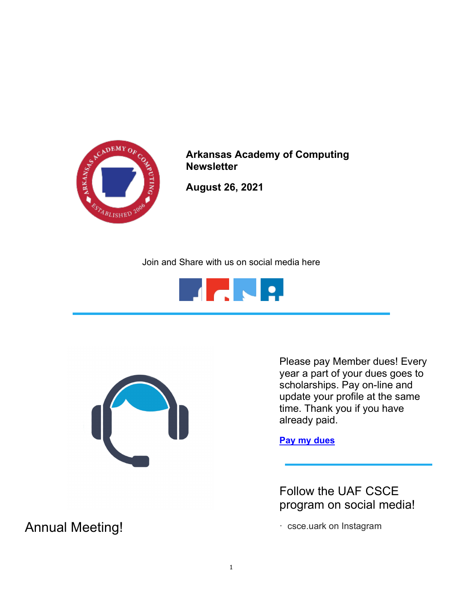

Arkansas Academy of Computing **Newsletter** 

August 26, 2021

Join and Share with us on social media here





Please pay Member dues! Every year a part of your dues goes to scholarships. Pay on-line and update your profile at the same time. Thank you if you have already paid.

Pay my dues

Follow the UAF CSCE program on social media!

· csce.uark on Instagram

Annual Meeting!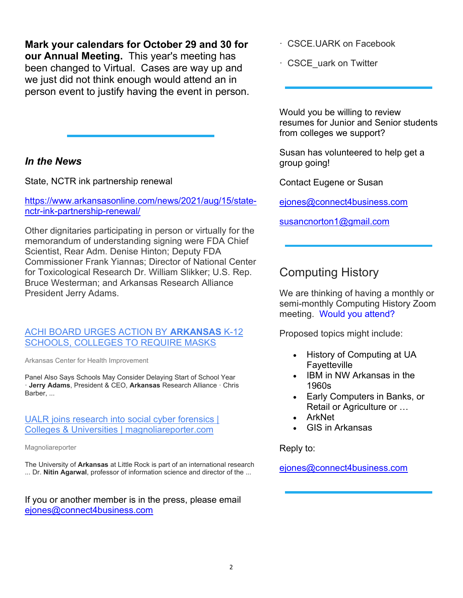Mark your calendars for October 29 and 30 for our Annual Meeting. This year's meeting has been changed to Virtual. Cases are way up and we just did not think enough would attend an in person event to justify having the event in person.

## In the News

State, NCTR ink partnership renewal

https://www.arkansasonline.com/news/2021/aug/15/statenctr-ink-partnership-renewal/

Other dignitaries participating in person or virtually for the memorandum of understanding signing were FDA Chief Scientist, Rear Adm. Denise Hinton; Deputy FDA Commissioner Frank Yiannas; Director of National Center for Toxicological Research Dr. William Slikker; U.S. Rep. Bruce Westerman; and Arkansas Research Alliance President Jerry Adams.

## ACHI BOARD URGES ACTION BY ARKANSAS K-12 SCHOOLS, COLLEGES TO REQUIRE MASKS

Arkansas Center for Health Improvement

Panel Also Says Schools May Consider Delaying Start of School Year · Jerry Adams, President & CEO, Arkansas Research Alliance · Chris Barber, ...

UALR joins research into social cyber forensics [ Colleges & Universities | magnoliareporter.com

Magnoliareporter

The University of Arkansas at Little Rock is part of an international research ... Dr. Nitin Agarwal, professor of information science and director of the ...

If you or another member is in the press, please email ejones@connect4business.com

· CSCE.UARK on Facebook

· CSCE\_uark on Twitter

Would you be willing to review resumes for Junior and Senior students from colleges we support?

Susan has volunteered to help get a group going!

Contact Eugene or Susan

ejones@connect4business.com

susancnorton1@gmail.com

## Computing History

We are thinking of having a monthly or semi-monthly Computing History Zoom meeting. Would you attend?

Proposed topics might include:

- History of Computing at UA Fayetteville
- IBM in NW Arkansas in the 1960s
- Early Computers in Banks, or Retail or Agriculture or …
- ArkNet
- GIS in Arkansas

Reply to:

ejones@connect4business.com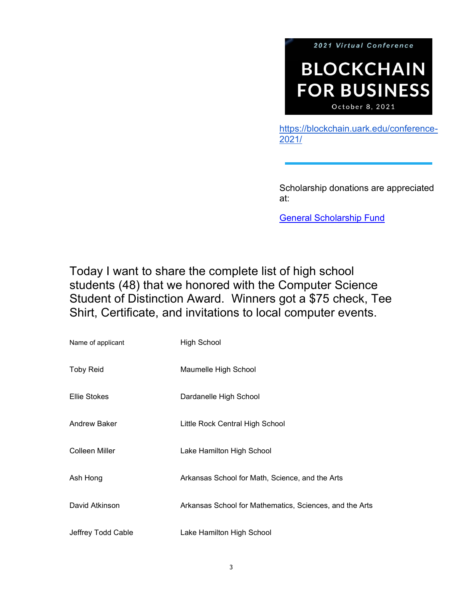

https://blockchain.uark.edu/conference-2021/

Scholarship donations are appreciated at:

General Scholarship Fund

Today I want to share the complete list of high school students (48) that we honored with the Computer Science Student of Distinction Award. Winners got a \$75 check, Tee Shirt, Certificate, and invitations to local computer events.

| Name of applicant   | High School                                             |
|---------------------|---------------------------------------------------------|
| <b>Toby Reid</b>    | Maumelle High School                                    |
| <b>Ellie Stokes</b> | Dardanelle High School                                  |
| Andrew Baker        | Little Rock Central High School                         |
| Colleen Miller      | Lake Hamilton High School                               |
| Ash Hong            | Arkansas School for Math, Science, and the Arts         |
| David Atkinson      | Arkansas School for Mathematics, Sciences, and the Arts |
| Jeffrey Todd Cable  | Lake Hamilton High School                               |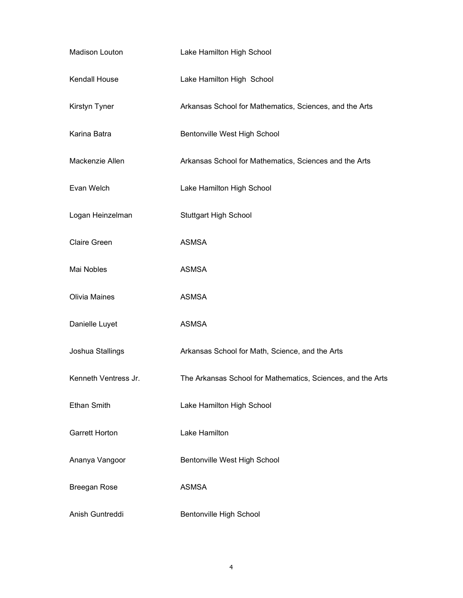| Madison Louton        | Lake Hamilton High School                                   |
|-----------------------|-------------------------------------------------------------|
| Kendall House         | Lake Hamilton High School                                   |
| Kirstyn Tyner         | Arkansas School for Mathematics, Sciences, and the Arts     |
| Karina Batra          | Bentonville West High School                                |
| Mackenzie Allen       | Arkansas School for Mathematics, Sciences and the Arts      |
| Evan Welch            | Lake Hamilton High School                                   |
| Logan Heinzelman      | <b>Stuttgart High School</b>                                |
| <b>Claire Green</b>   | <b>ASMSA</b>                                                |
| Mai Nobles            | <b>ASMSA</b>                                                |
| Olivia Maines         | <b>ASMSA</b>                                                |
| Danielle Luyet        | <b>ASMSA</b>                                                |
| Joshua Stallings      | Arkansas School for Math, Science, and the Arts             |
| Kenneth Ventress Jr.  | The Arkansas School for Mathematics, Sciences, and the Arts |
| <b>Ethan Smith</b>    | Lake Hamilton High School                                   |
| <b>Garrett Horton</b> | Lake Hamilton                                               |
| Ananya Vangoor        | Bentonville West High School                                |
| <b>Breegan Rose</b>   | <b>ASMSA</b>                                                |
| Anish Guntreddi       | Bentonville High School                                     |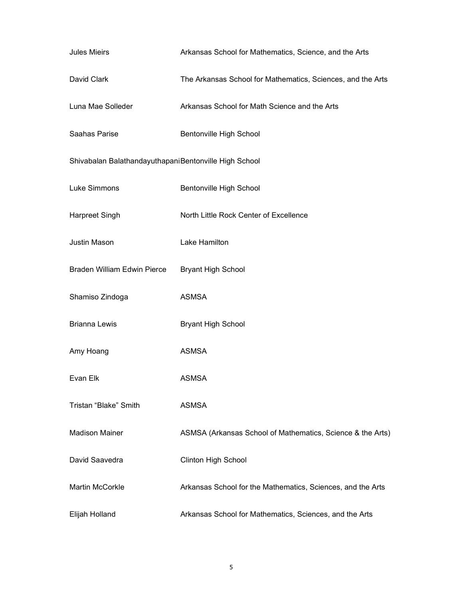| <b>Jules Mieirs</b>                                   | Arkansas School for Mathematics, Science, and the Arts      |
|-------------------------------------------------------|-------------------------------------------------------------|
| David Clark                                           | The Arkansas School for Mathematics, Sciences, and the Arts |
| Luna Mae Solleder                                     | Arkansas School for Math Science and the Arts               |
| Saahas Parise                                         | Bentonville High School                                     |
| Shivabalan BalathandayuthapaniBentonville High School |                                                             |
| Luke Simmons                                          | Bentonville High School                                     |
| <b>Harpreet Singh</b>                                 | North Little Rock Center of Excellence                      |
| Justin Mason                                          | Lake Hamilton                                               |
| Braden William Edwin Pierce                           | <b>Bryant High School</b>                                   |
| Shamiso Zindoga                                       | <b>ASMSA</b>                                                |
| <b>Brianna Lewis</b>                                  | <b>Bryant High School</b>                                   |
| Amy Hoang                                             | <b>ASMSA</b>                                                |
| Evan Elk                                              | <b>ASMSA</b>                                                |
| Tristan "Blake" Smith                                 | <b>ASMSA</b>                                                |
| <b>Madison Mainer</b>                                 | ASMSA (Arkansas School of Mathematics, Science & the Arts)  |
| David Saavedra                                        | Clinton High School                                         |
| <b>Martin McCorkle</b>                                | Arkansas School for the Mathematics, Sciences, and the Arts |
| Elijah Holland                                        | Arkansas School for Mathematics, Sciences, and the Arts     |